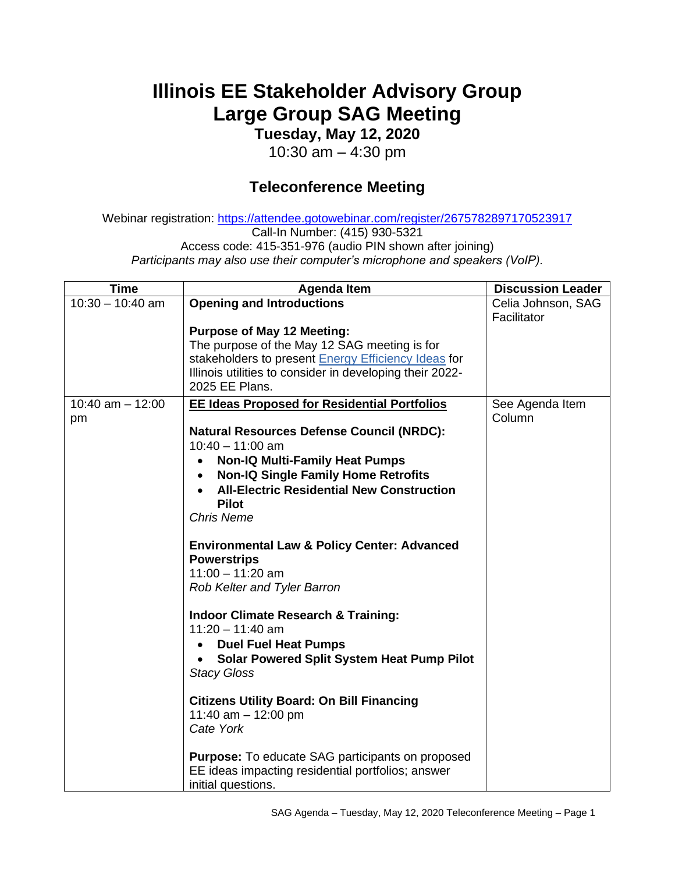## **Illinois EE Stakeholder Advisory Group Large Group SAG Meeting**

**Tuesday, May 12, 2020**

10:30 am – 4:30 pm

## **Teleconference Meeting**

Webinar registration: <https://attendee.gotowebinar.com/register/2675782897170523917> Call-In Number: (415) 930-5321 Access code: 415-351-976 (audio PIN shown after joining) *Participants may also use their computer's microphone and speakers (VoIP).*

| <b>Time</b>                | <b>Agenda Item</b>                                                                                                                                                                                                     | <b>Discussion Leader</b>          |
|----------------------------|------------------------------------------------------------------------------------------------------------------------------------------------------------------------------------------------------------------------|-----------------------------------|
| $10:30 - 10:40$ am         | <b>Opening and Introductions</b>                                                                                                                                                                                       | Celia Johnson, SAG<br>Facilitator |
|                            | <b>Purpose of May 12 Meeting:</b><br>The purpose of the May 12 SAG meeting is for<br>stakeholders to present Energy Efficiency Ideas for<br>Illinois utilities to consider in developing their 2022-<br>2025 EE Plans. |                                   |
| $10:40$ am $- 12:00$<br>pm | <b>EE Ideas Proposed for Residential Portfolios</b><br><b>Natural Resources Defense Council (NRDC):</b>                                                                                                                | See Agenda Item<br>Column         |
|                            | $10:40 - 11:00$ am                                                                                                                                                                                                     |                                   |
|                            | <b>Non-IQ Multi-Family Heat Pumps</b><br><b>Non-IQ Single Family Home Retrofits</b><br>$\bullet$                                                                                                                       |                                   |
|                            | <b>All-Electric Residential New Construction</b>                                                                                                                                                                       |                                   |
|                            | <b>Pilot</b>                                                                                                                                                                                                           |                                   |
|                            | <b>Chris Neme</b>                                                                                                                                                                                                      |                                   |
|                            | <b>Environmental Law &amp; Policy Center: Advanced</b><br><b>Powerstrips</b>                                                                                                                                           |                                   |
|                            | $11:00 - 11:20$ am<br>Rob Kelter and Tyler Barron                                                                                                                                                                      |                                   |
|                            | <b>Indoor Climate Research &amp; Training:</b><br>$11:20 - 11:40$ am                                                                                                                                                   |                                   |
|                            | <b>Duel Fuel Heat Pumps</b>                                                                                                                                                                                            |                                   |
|                            | <b>Solar Powered Split System Heat Pump Pilot</b><br>$\bullet$<br><b>Stacy Gloss</b>                                                                                                                                   |                                   |
|                            | <b>Citizens Utility Board: On Bill Financing</b><br>11:40 am $-$ 12:00 pm<br>Cate York                                                                                                                                 |                                   |
|                            |                                                                                                                                                                                                                        |                                   |
|                            | <b>Purpose:</b> To educate SAG participants on proposed<br>EE ideas impacting residential portfolios; answer<br>initial questions.                                                                                     |                                   |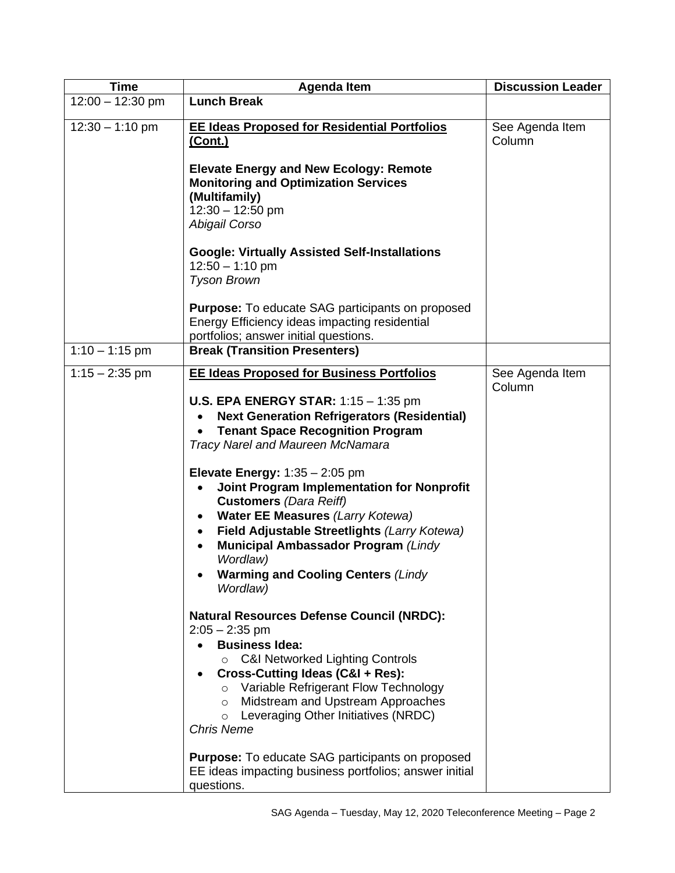| <b>Time</b>        | <b>Agenda Item</b>                                                                                                                                                                                                                                                                                                                                                                                                                                                                                                                                                                                                                                                                                         | <b>Discussion Leader</b>  |
|--------------------|------------------------------------------------------------------------------------------------------------------------------------------------------------------------------------------------------------------------------------------------------------------------------------------------------------------------------------------------------------------------------------------------------------------------------------------------------------------------------------------------------------------------------------------------------------------------------------------------------------------------------------------------------------------------------------------------------------|---------------------------|
| $12:00 - 12:30$ pm | <b>Lunch Break</b>                                                                                                                                                                                                                                                                                                                                                                                                                                                                                                                                                                                                                                                                                         |                           |
| $12:30 - 1:10$ pm  | <b>EE Ideas Proposed for Residential Portfolios</b><br>(Cont.)                                                                                                                                                                                                                                                                                                                                                                                                                                                                                                                                                                                                                                             | See Agenda Item<br>Column |
|                    | <b>Elevate Energy and New Ecology: Remote</b><br><b>Monitoring and Optimization Services</b><br>(Multifamily)<br>$12:30 - 12:50$ pm<br>Abigail Corso                                                                                                                                                                                                                                                                                                                                                                                                                                                                                                                                                       |                           |
|                    | <b>Google: Virtually Assisted Self-Installations</b><br>$12:50 - 1:10$ pm<br><b>Tyson Brown</b>                                                                                                                                                                                                                                                                                                                                                                                                                                                                                                                                                                                                            |                           |
|                    | <b>Purpose:</b> To educate SAG participants on proposed<br>Energy Efficiency ideas impacting residential<br>portfolios; answer initial questions.                                                                                                                                                                                                                                                                                                                                                                                                                                                                                                                                                          |                           |
| $1:10 - 1:15$ pm   | <b>Break (Transition Presenters)</b>                                                                                                                                                                                                                                                                                                                                                                                                                                                                                                                                                                                                                                                                       |                           |
| $1:15 - 2:35$ pm   | <b>EE Ideas Proposed for Business Portfolios</b><br><b>U.S. EPA ENERGY STAR:</b> $1:15 - 1:35$ pm<br><b>Next Generation Refrigerators (Residential)</b><br><b>Tenant Space Recognition Program</b><br><b>Tracy Narel and Maureen McNamara</b><br>Elevate Energy: $1:35 - 2:05$ pm<br>Joint Program Implementation for Nonprofit<br>$\bullet$<br><b>Customers (Dara Reiff)</b><br><b>Water EE Measures (Larry Kotewa)</b><br>$\bullet$<br>Field Adjustable Streetlights (Larry Kotewa)<br>$\bullet$<br><b>Municipal Ambassador Program (Lindy</b><br>$\bullet$<br>Wordlaw)<br><b>Warming and Cooling Centers (Lindy</b><br>Wordlaw)<br><b>Natural Resources Defense Council (NRDC):</b><br>$2:05 - 2:35$ pm | See Agenda Item<br>Column |
|                    | <b>Business Idea:</b><br><b>C&amp;I Networked Lighting Controls</b><br>$\circ$<br>Cross-Cutting Ideas (C&I + Res):<br>$\bullet$<br>Variable Refrigerant Flow Technology<br>$\circ$<br>Midstream and Upstream Approaches<br>$\circ$<br>Leveraging Other Initiatives (NRDC)<br>$\circ$<br><b>Chris Neme</b><br><b>Purpose:</b> To educate SAG participants on proposed<br>EE ideas impacting business portfolios; answer initial<br>questions.                                                                                                                                                                                                                                                               |                           |